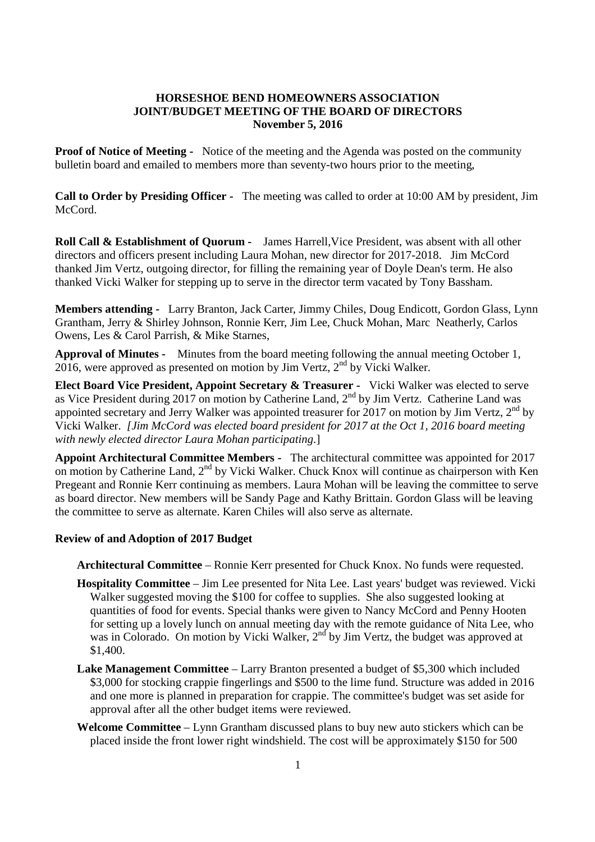## **HORSESHOE BEND HOMEOWNERS ASSOCIATION JOINT/BUDGET MEETING OF THE BOARD OF DIRECTORS November 5, 2016**

**Proof of Notice of Meeting -** Notice of the meeting and the Agenda was posted on the community bulletin board and emailed to members more than seventy-two hours prior to the meeting,

**Call to Order by Presiding Officer -** The meeting was called to order at 10:00 AM by president, Jim McCord.

**Roll Call & Establishment of Quorum -** James Harrell,Vice President, was absent with all other directors and officers present including Laura Mohan, new director for 2017-2018. Jim McCord thanked Jim Vertz, outgoing director, for filling the remaining year of Doyle Dean's term. He also thanked Vicki Walker for stepping up to serve in the director term vacated by Tony Bassham.

**Members attending -** Larry Branton, Jack Carter, Jimmy Chiles, Doug Endicott, Gordon Glass, Lynn Grantham, Jerry & Shirley Johnson, Ronnie Kerr, Jim Lee, Chuck Mohan, Marc Neatherly, Carlos Owens, Les & Carol Parrish, & Mike Starnes,

**Approval of Minutes -** Minutes from the board meeting following the annual meeting October 1,  $2016$ , were approved as presented on motion by Jim Vertz,  $2^{nd}$  by Vicki Walker.

**Elect Board Vice President, Appoint Secretary & Treasurer -** Vicki Walker was elected to serve as Vice President during 2017 on motion by Catherine Land, 2<sup>nd</sup> by Jim Vertz. Catherine Land was appointed secretary and Jerry Walker was appointed treasurer for 2017 on motion by Jim Vertz,  $2^{nd}$  by Vicki Walker. *[Jim McCord was elected board president for 2017 at the Oct 1, 2016 board meeting with newly elected director Laura Mohan participating*.]

**Appoint Architectural Committee Members -** The architectural committee was appointed for 2017 on motion by Catherine Land, 2<sup>nd</sup> by Vicki Walker. Chuck Knox will continue as chairperson with Ken Pregeant and Ronnie Kerr continuing as members. Laura Mohan will be leaving the committee to serve as board director. New members will be Sandy Page and Kathy Brittain. Gordon Glass will be leaving the committee to serve as alternate. Karen Chiles will also serve as alternate.

## **Review of and Adoption of 2017 Budget**

**Architectural Committee** – Ronnie Kerr presented for Chuck Knox. No funds were requested.

- **Hospitality Committee** Jim Lee presented for Nita Lee. Last years' budget was reviewed. Vicki Walker suggested moving the \$100 for coffee to supplies. She also suggested looking at quantities of food for events. Special thanks were given to Nancy McCord and Penny Hooten for setting up a lovely lunch on annual meeting day with the remote guidance of Nita Lee, who was in Colorado. On motion by Vicki Walker, 2<sup>nd</sup> by Jim Vertz, the budget was approved at \$1,400.
- **Lake Management Committee** Larry Branton presented a budget of \$5,300 which included \$3,000 for stocking crappie fingerlings and \$500 to the lime fund. Structure was added in 2016 and one more is planned in preparation for crappie. The committee's budget was set aside for approval after all the other budget items were reviewed.
- **Welcome Committee** Lynn Grantham discussed plans to buy new auto stickers which can be placed inside the front lower right windshield. The cost will be approximately \$150 for 500